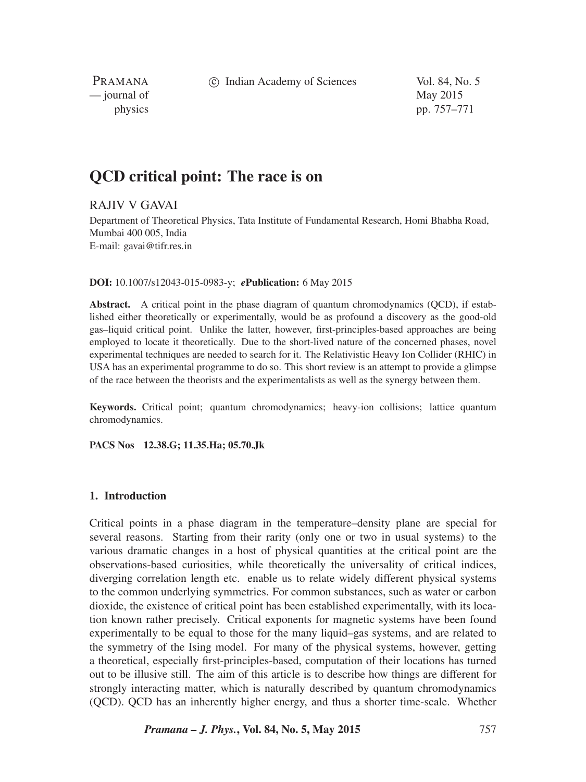c Indian Academy of Sciences Vol. 84, No. 5

PRAMANA — journal of May 2015

physics pp. 757–771

# **QCD critical point: The race is on**

## RAJIV V GAVAI

Department of Theoretical Physics, Tata Institute of Fundamental Research, Homi Bhabha Road, Mumbai 400 005, India E-mail: gavai@tifr.res.in

#### **DOI:** 10.1007/s12043-015-0983-y; *e***Publication:** 6 May 2015

**Abstract.** A critical point in the phase diagram of quantum chromodynamics (QCD), if established either theoretically or experimentally, would be as profound a discovery as the good-old gas–liquid critical point. Unlike the latter, however, first-principles-based approaches are being employed to locate it theoretically. Due to the short-lived nature of the concerned phases, novel experimental techniques are needed to search for it. The Relativistic Heavy Ion Collider (RHIC) in USA has an experimental programme to do so. This short review is an attempt to provide a glimpse of the race between the theorists and the experimentalists as well as the synergy between them.

**Keywords.** Critical point; quantum chromodynamics; heavy-ion collisions; lattice quantum chromodynamics.

**PACS Nos 12.38.G; 11.35.Ha; 05.70.Jk**

### **1. Introduction**

Critical points in a phase diagram in the temperature–density plane are special for several reasons. Starting from their rarity (only one or two in usual systems) to the various dramatic changes in a host of physical quantities at the critical point are the observations-based curiosities, while theoretically the universality of critical indices, diverging correlation length etc. enable us to relate widely different physical systems to the common underlying symmetries. For common substances, such as water or carbon dioxide, the existence of critical point has been established experimentally, with its location known rather precisely. Critical exponents for magnetic systems have been found experimentally to be equal to those for the many liquid–gas systems, and are related to the symmetry of the Ising model. For many of the physical systems, however, getting a theoretical, especially first-principles-based, computation of their locations has turned out to be illusive still. The aim of this article is to describe how things are different for strongly interacting matter, which is naturally described by quantum chromodynamics (QCD). QCD has an inherently higher energy, and thus a shorter time-scale. Whether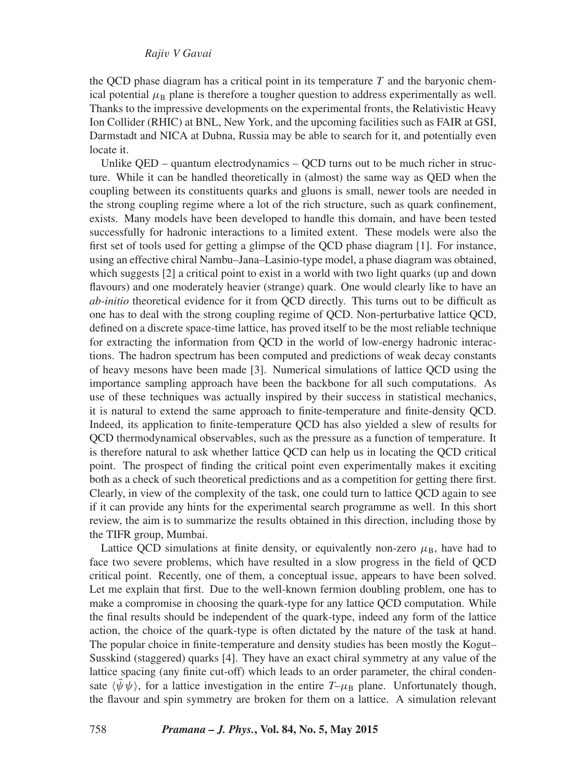the QCD phase diagram has a critical point in its temperature  $T$  and the baryonic chemical potential  $\mu_B$  plane is therefore a tougher question to address experimentally as well. Thanks to the impressive developments on the experimental fronts, the Relativistic Heavy Ion Collider (RHIC) at BNL, New York, and the upcoming facilities such as FAIR at GSI, Darmstadt and NICA at Dubna, Russia may be able to search for it, and potentially even locate it.

Unlike OED – quantum electrodynamics – OCD turns out to be much richer in structure. While it can be handled theoretically in (almost) the same way as QED when the coupling between its constituents quarks and gluons is small, newer tools are needed in the strong coupling regime where a lot of the rich structure, such as quark confinement, exists. Many models have been developed to handle this domain, and have been tested successfully for hadronic interactions to a limited extent. These models were also the first set of tools used for getting a glimpse of the QCD phase diagram [1]. For instance, using an effective chiral Nambu–Jana–Lasinio-type model, a phase diagram was obtained, which suggests [2] a critical point to exist in a world with two light quarks (up and down flavours) and one moderately heavier (strange) quark. One would clearly like to have an *ab-initio* theoretical evidence for it from QCD directly. This turns out to be difficult as one has to deal with the strong coupling regime of QCD. Non-perturbative lattice QCD, defined on a discrete space-time lattice, has proved itself to be the most reliable technique for extracting the information from QCD in the world of low-energy hadronic interactions. The hadron spectrum has been computed and predictions of weak decay constants of heavy mesons have been made [3]. Numerical simulations of lattice QCD using the importance sampling approach have been the backbone for all such computations. As use of these techniques was actually inspired by their success in statistical mechanics, it is natural to extend the same approach to finite-temperature and finite-density QCD. Indeed, its application to finite-temperature QCD has also yielded a slew of results for QCD thermodynamical observables, such as the pressure as a function of temperature. It is therefore natural to ask whether lattice QCD can help us in locating the QCD critical point. The prospect of finding the critical point even experimentally makes it exciting both as a check of such theoretical predictions and as a competition for getting there first. Clearly, in view of the complexity of the task, one could turn to lattice QCD again to see if it can provide any hints for the experimental search programme as well. In this short review, the aim is to summarize the results obtained in this direction, including those by the TIFR group, Mumbai.

Lattice QCD simulations at finite density, or equivalently non-zero  $\mu_B$ , have had to face two severe problems, which have resulted in a slow progress in the field of QCD critical point. Recently, one of them, a conceptual issue, appears to have been solved. Let me explain that first. Due to the well-known fermion doubling problem, one has to make a compromise in choosing the quark-type for any lattice QCD computation. While the final results should be independent of the quark-type, indeed any form of the lattice action, the choice of the quark-type is often dictated by the nature of the task at hand. The popular choice in finite-temperature and density studies has been mostly the Kogut– Susskind (staggered) quarks [4]. They have an exact chiral symmetry at any value of the lattice spacing (any finite cut-off) which leads to an order parameter, the chiral condensate  $\langle \bar{\psi} \psi \rangle$ , for a lattice investigation in the entire  $T-\mu_B$  plane. Unfortunately though, the flavour and spin symmetry are broken for them on a lattice. A simulation relevant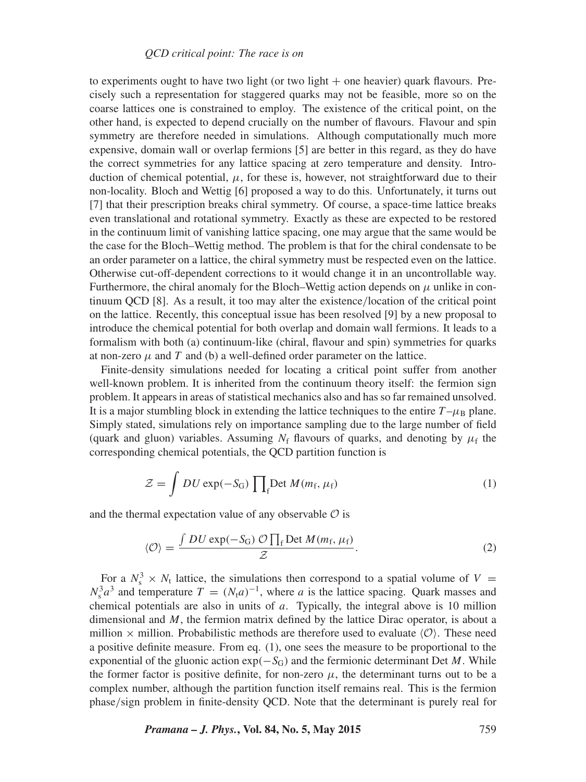to experiments ought to have two light (or two light  $+$  one heavier) quark flavours. Precisely such a representation for staggered quarks may not be feasible, more so on the coarse lattices one is constrained to employ. The existence of the critical point, on the other hand, is expected to depend crucially on the number of flavours. Flavour and spin symmetry are therefore needed in simulations. Although computationally much more expensive, domain wall or overlap fermions [5] are better in this regard, as they do have the correct symmetries for any lattice spacing at zero temperature and density. Introduction of chemical potential,  $\mu$ , for these is, however, not straightforward due to their non-locality. Bloch and Wettig [6] proposed a way to do this. Unfortunately, it turns out [7] that their prescription breaks chiral symmetry. Of course, a space-time lattice breaks even translational and rotational symmetry. Exactly as these are expected to be restored in the continuum limit of vanishing lattice spacing, one may argue that the same would be the case for the Bloch–Wettig method. The problem is that for the chiral condensate to be an order parameter on a lattice, the chiral symmetry must be respected even on the lattice. Otherwise cut-off-dependent corrections to it would change it in an uncontrollable way. Furthermore, the chiral anomaly for the Bloch–Wettig action depends on  $\mu$  unlike in continuum QCD [8]. As a result, it too may alter the existence*/*location of the critical point on the lattice. Recently, this conceptual issue has been resolved [9] by a new proposal to introduce the chemical potential for both overlap and domain wall fermions. It leads to a formalism with both (a) continuum-like (chiral, flavour and spin) symmetries for quarks at non-zero  $\mu$  and  $T$  and (b) a well-defined order parameter on the lattice.

Finite-density simulations needed for locating a critical point suffer from another well-known problem. It is inherited from the continuum theory itself: the fermion sign problem. It appears in areas of statistical mechanics also and has so far remained unsolved. It is a major stumbling block in extending the lattice techniques to the entire  $T - \mu_B$  plane. Simply stated, simulations rely on importance sampling due to the large number of field (quark and gluon) variables. Assuming  $N_f$  flavours of quarks, and denoting by  $\mu_f$  the corresponding chemical potentials, the QCD partition function is

$$
\mathcal{Z} = \int DU \exp(-S_{\rm G}) \prod_{\rm f} \text{Det } M(m_{\rm f}, \mu_{\rm f}) \tag{1}
$$

and the thermal expectation value of any observable  $\mathcal O$  is

$$
\langle \mathcal{O} \rangle = \frac{\int DU \exp(-S_{\rm G}) \mathcal{O} \prod_{\rm f} \text{Det } M(m_{\rm f}, \mu_{\rm f})}{\mathcal{Z}}.
$$
 (2)

For a  $N_s^3 \times N_t$  lattice, the simulations then correspond to a spatial volume of  $V =$  $N_s^3 a^3$  and temperature  $T = (N_t a)^{-1}$ , where *a* is the lattice spacing. Quark masses and chemical potentials are also in units of *a*. Typically, the integral above is 10 million dimensional and *M*, the fermion matrix defined by the lattice Dirac operator, is about a million  $\times$  million. Probabilistic methods are therefore used to evaluate  $\langle \mathcal{O} \rangle$ . These need a positive definite measure. From eq. (1), one sees the measure to be proportional to the exponential of the gluonic action  $exp(-S_G)$  and the fermionic determinant Det *M*. While the former factor is positive definite, for non-zero  $\mu$ , the determinant turns out to be a complex number, although the partition function itself remains real. This is the fermion phase*/*sign problem in finite-density QCD. Note that the determinant is purely real for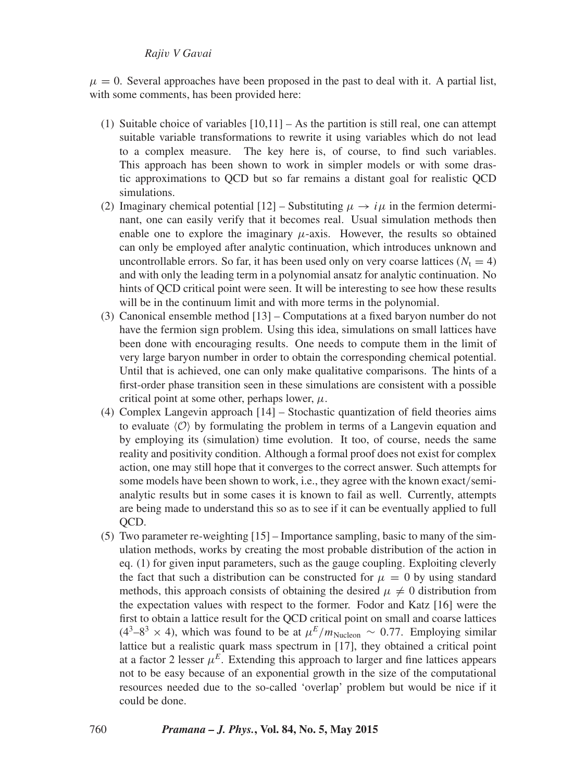$\mu = 0$ . Several approaches have been proposed in the past to deal with it. A partial list, with some comments, has been provided here:

- (1) Suitable choice of variables  $[10,11]$  As the partition is still real, one can attempt suitable variable transformations to rewrite it using variables which do not lead to a complex measure. The key here is, of course, to find such variables. This approach has been shown to work in simpler models or with some drastic approximations to QCD but so far remains a distant goal for realistic QCD simulations.
- (2) Imaginary chemical potential  $[12]$  Substituting  $\mu \to i\mu$  in the fermion determinant, one can easily verify that it becomes real. Usual simulation methods then enable one to explore the imaginary  $\mu$ -axis. However, the results so obtained can only be employed after analytic continuation, which introduces unknown and uncontrollable errors. So far, it has been used only on very coarse lattices  $(N<sub>t</sub> = 4)$ and with only the leading term in a polynomial ansatz for analytic continuation. No hints of QCD critical point were seen. It will be interesting to see how these results will be in the continuum limit and with more terms in the polynomial.
- (3) Canonical ensemble method [13] Computations at a fixed baryon number do not have the fermion sign problem. Using this idea, simulations on small lattices have been done with encouraging results. One needs to compute them in the limit of very large baryon number in order to obtain the corresponding chemical potential. Until that is achieved, one can only make qualitative comparisons. The hints of a first-order phase transition seen in these simulations are consistent with a possible critical point at some other, perhaps lower,  $\mu$ .
- (4) Complex Langevin approach [14] Stochastic quantization of field theories aims to evaluate  $\langle \mathcal{O} \rangle$  by formulating the problem in terms of a Langevin equation and by employing its (simulation) time evolution. It too, of course, needs the same reality and positivity condition. Although a formal proof does not exist for complex action, one may still hope that it converges to the correct answer. Such attempts for some models have been shown to work, i.e., they agree with the known exact*/*semianalytic results but in some cases it is known to fail as well. Currently, attempts are being made to understand this so as to see if it can be eventually applied to full QCD.
- (5) Two parameter re-weighting [15] Importance sampling, basic to many of the simulation methods, works by creating the most probable distribution of the action in eq. (1) for given input parameters, such as the gauge coupling. Exploiting cleverly the fact that such a distribution can be constructed for  $\mu = 0$  by using standard methods, this approach consists of obtaining the desired  $\mu \neq 0$  distribution from the expectation values with respect to the former. Fodor and Katz [16] were the first to obtain a lattice result for the QCD critical point on small and coarse lattices  $(4^3-8^3 \times 4)$ , which was found to be at  $\mu^E/m_{\text{Nucleon}} \sim 0.77$ . Employing similar lattice but a realistic quark mass spectrum in [17], they obtained a critical point at a factor 2 lesser  $\mu^E$ . Extending this approach to larger and fine lattices appears not to be easy because of an exponential growth in the size of the computational resources needed due to the so-called 'overlap' problem but would be nice if it could be done.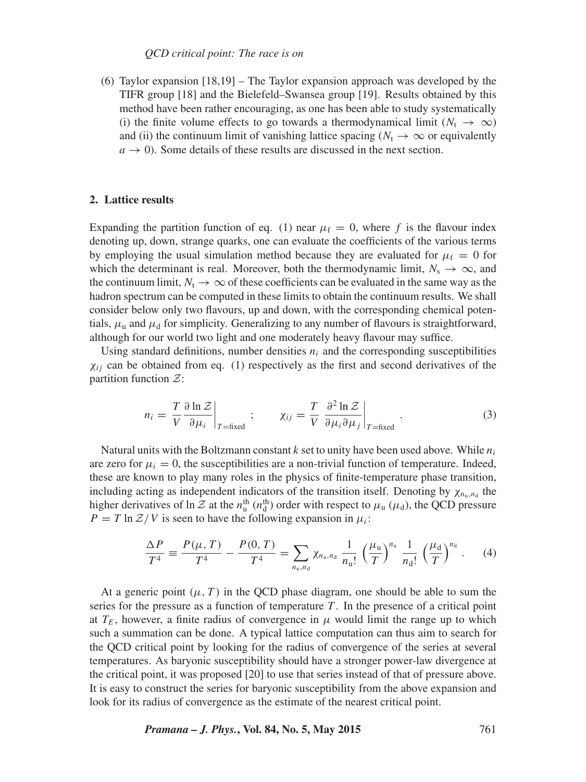#### *QCD critical point: The race is on*

(6) Taylor expansion [18,19] – The Taylor expansion approach was developed by the TIFR group [18] and the Bielefeld–Swansea group [19]. Results obtained by this method have been rather encouraging, as one has been able to study systematically (i) the finite volume effects to go towards a thermodynamical limit ( $N_t \rightarrow \infty$ ) and (ii) the continuum limit of vanishing lattice spacing ( $N_t \rightarrow \infty$  or equivalently  $a \rightarrow 0$ ). Some details of these results are discussed in the next section.

#### **2. Lattice results**

Expanding the partition function of eq. (1) near  $\mu_f = 0$ , where f is the flavour index denoting up, down, strange quarks, one can evaluate the coefficients of the various terms by employing the usual simulation method because they are evaluated for  $\mu_f = 0$  for which the determinant is real. Moreover, both the thermodynamic limit,  $N_s \to \infty$ , and the continuum limit,  $N_t \to \infty$  of these coefficients can be evaluated in the same way as the hadron spectrum can be computed in these limits to obtain the continuum results. We shall consider below only two flavours, up and down, with the corresponding chemical potentials,  $\mu_{\rm u}$  and  $\mu_{\rm d}$  for simplicity. Generalizing to any number of flavours is straightforward, although for our world two light and one moderately heavy flavour may suffice.

Using standard definitions, number densities  $n_i$  and the corresponding susceptibilities  $\chi_{ij}$  can be obtained from eq. (1) respectively as the first and second derivatives of the partition function  $\mathcal{Z}$ :

$$
n_i = \frac{T}{V} \frac{\partial \ln \mathcal{Z}}{\partial \mu_i} \bigg|_{T = \text{fixed}}; \qquad \chi_{ij} = \frac{T}{V} \frac{\partial^2 \ln \mathcal{Z}}{\partial \mu_i \partial \mu_j} \bigg|_{T = \text{fixed}}.
$$
 (3)

Natural units with the Boltzmann constant *k* set to unity have been used above. While *ni* are zero for  $\mu_i = 0$ , the susceptibilities are a non-trivial function of temperature. Indeed, these are known to play many roles in the physics of finite-temperature phase transition, including acting as independent indicators of the transition itself. Denoting by  $\chi_{n_u,n_d}$  the higher derivatives of  $\ln \mathcal{Z}$  at the  $n_u^{\text{th}}(n_d^{\text{th}})$  order with respect to  $\mu_u(\mu_d)$ , the QCD pressure  $P = T \ln \mathcal{Z}/V$  is seen to have the following expansion in  $\mu_i$ :

$$
\frac{\Delta P}{T^4} \equiv \frac{P(\mu, T)}{T^4} - \frac{P(0, T)}{T^4} = \sum_{n_u, n_d} \chi_{n_u, n_d} \frac{1}{n_u!} \left(\frac{\mu_u}{T}\right)^{n_u} \frac{1}{n_d!} \left(\frac{\mu_d}{T}\right)^{n_d} . \tag{4}
$$

At a generic point  $(\mu, T)$  in the QCD phase diagram, one should be able to sum the series for the pressure as a function of temperature *T* . In the presence of a critical point at  $T_E$ , however, a finite radius of convergence in  $\mu$  would limit the range up to which such a summation can be done. A typical lattice computation can thus aim to search for the QCD critical point by looking for the radius of convergence of the series at several temperatures. As baryonic susceptibility should have a stronger power-law divergence at the critical point, it was proposed [20] to use that series instead of that of pressure above. It is easy to construct the series for baryonic susceptibility from the above expansion and look for its radius of convergence as the estimate of the nearest critical point.

*Pramana – J. Phys.***, Vol. 84, No. 5, May 2015** 761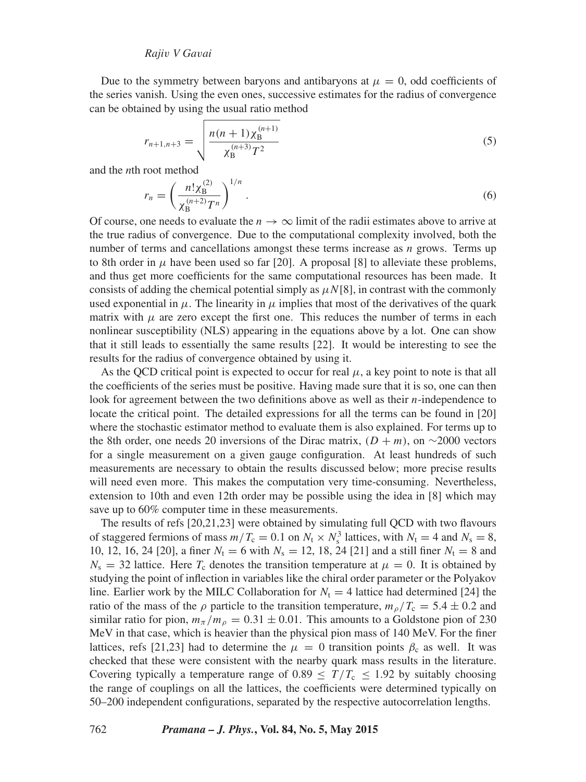Due to the symmetry between baryons and antibaryons at  $\mu = 0$ , odd coefficients of the series vanish. Using the even ones, successive estimates for the radius of convergence can be obtained by using the usual ratio method

$$
r_{n+1,n+3} = \sqrt{\frac{n(n+1)\chi_{\rm B}^{(n+1)}}{\chi_{\rm B}^{(n+3)}T^2}}
$$
(5)

and the *n*th root method

$$
r_n = \left(\frac{n!\chi_{\rm B}^{(2)}}{\chi_{\rm B}^{(n+2)}T^n}\right)^{1/n}.
$$
\n(6)

Of course, one needs to evaluate the  $n \to \infty$  limit of the radii estimates above to arrive at the true radius of convergence. Due to the computational complexity involved, both the number of terms and cancellations amongst these terms increase as *n* grows. Terms up to 8th order in  $\mu$  have been used so far [20]. A proposal [8] to alleviate these problems, and thus get more coefficients for the same computational resources has been made. It consists of adding the chemical potential simply as  $\mu N[8]$ , in contrast with the commonly used exponential in  $\mu$ . The linearity in  $\mu$  implies that most of the derivatives of the quark matrix with  $\mu$  are zero except the first one. This reduces the number of terms in each nonlinear susceptibility (NLS) appearing in the equations above by a lot. One can show that it still leads to essentially the same results [22]. It would be interesting to see the results for the radius of convergence obtained by using it.

As the QCD critical point is expected to occur for real  $\mu$ , a key point to note is that all the coefficients of the series must be positive. Having made sure that it is so, one can then look for agreement between the two definitions above as well as their *n*-independence to locate the critical point. The detailed expressions for all the terms can be found in [20] where the stochastic estimator method to evaluate them is also explained. For terms up to the 8th order, one needs 20 inversions of the Dirac matrix,  $(D + m)$ , on ∼2000 vectors for a single measurement on a given gauge configuration. At least hundreds of such measurements are necessary to obtain the results discussed below; more precise results will need even more. This makes the computation very time-consuming. Nevertheless, extension to 10th and even 12th order may be possible using the idea in [8] which may save up to 60% computer time in these measurements.

The results of refs [20,21,23] were obtained by simulating full QCD with two flavours of staggered fermions of mass  $m/T_c = 0.1$  on  $N_t \times N_s^3$  lattices, with  $N_t = 4$  and  $N_s = 8$ , 10, 12, 16, 24 [20], a finer  $N_t = 6$  with  $N_s = 12$ , 18, 24 [21] and a still finer  $N_t = 8$  and  $N_s = 32$  lattice. Here  $T_c$  denotes the transition temperature at  $\mu = 0$ . It is obtained by studying the point of inflection in variables like the chiral order parameter or the Polyakov line. Earlier work by the MILC Collaboration for  $N_t = 4$  lattice had determined [24] the ratio of the mass of the *ρ* particle to the transition temperature,  $m_p/T_c = 5.4 \pm 0.2$  and similar ratio for pion,  $m_\pi/m_\rho = 0.31 \pm 0.01$ . This amounts to a Goldstone pion of 230 MeV in that case, which is heavier than the physical pion mass of 140 MeV. For the finer lattices, refs [21,23] had to determine the  $\mu = 0$  transition points  $\beta_c$  as well. It was checked that these were consistent with the nearby quark mass results in the literature. Covering typically a temperature range of  $0.89 \leq T/T_c \leq 1.92$  by suitably choosing the range of couplings on all the lattices, the coefficients were determined typically on 50–200 independent configurations, separated by the respective autocorrelation lengths.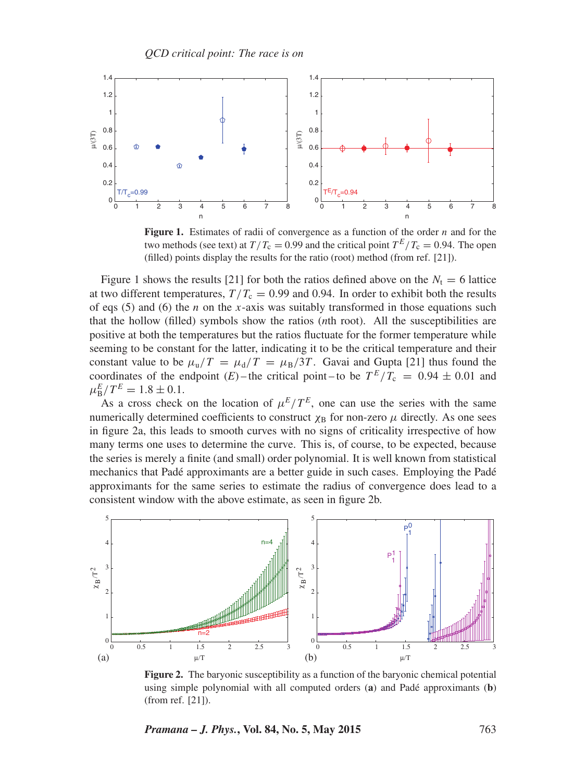

**Figure 1.** Estimates of radii of convergence as a function of the order *n* and for the two methods (see text) at  $T/T_c = 0.99$  and the critical point  $T^E/T_c = 0.94$ . The open (filled) points display the results for the ratio (root) method (from ref. [21]).

Figure 1 shows the results [21] for both the ratios defined above on the  $N_t = 6$  lattice at two different temperatures,  $T/T_c = 0.99$  and 0.94. In order to exhibit both the results of eqs (5) and (6) the *n* on the *x*-axis was suitably transformed in those equations such that the hollow (filled) symbols show the ratios (*n*th root). All the susceptibilities are positive at both the temperatures but the ratios fluctuate for the former temperature while seeming to be constant for the latter, indicating it to be the critical temperature and their constant value to be  $\mu_{\rm u}/T = \mu_{\rm d}/T = \mu_{\rm B}/3T$ . Gavai and Gupta [21] thus found the coordinates of the endpoint (*E*) – the critical point – to be  $T^E/T_c = 0.94 \pm 0.01$  and  $\mu_{\rm B}^E/T^E = 1.8 \pm 0.1.$ 

As a cross check on the location of  $\mu^E/T^E$ , one can use the series with the same numerically determined coefficients to construct  $\chi_B$  for non-zero  $\mu$  directly. As one sees in figure 2a, this leads to smooth curves with no signs of criticality irrespective of how many terms one uses to determine the curve. This is, of course, to be expected, because the series is merely a finite (and small) order polynomial. It is well known from statistical mechanics that Padé approximants are a better guide in such cases. Employing the Padé approximants for the same series to estimate the radius of convergence does lead to a consistent window with the above estimate, as seen in figure 2b.



**Figure 2.** The baryonic susceptibility as a function of the baryonic chemical potential using simple polynomial with all computed orders (**a**) and Padé approximants (**b**) (from ref. [21]).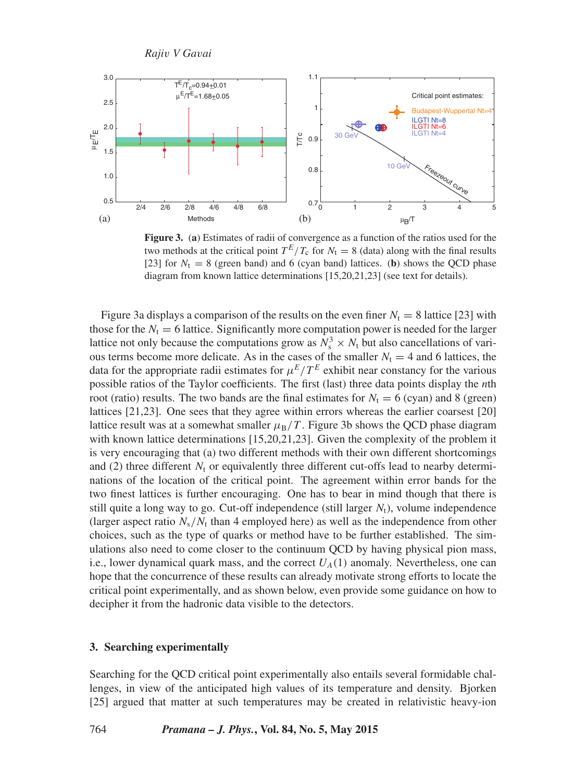

**Figure 3.** (**a**) Estimates of radii of convergence as a function of the ratios used for the two methods at the critical point  $T^E/T_c$  for  $N_t = 8$  (data) along with the final results [23] for  $N_t = 8$  (green band) and 6 (cyan band) lattices. (**b**) shows the QCD phase diagram from known lattice determinations [15,20,21,23] (see text for details).

Figure 3a displays a comparison of the results on the even finer  $N_t = 8$  lattice [23] with those for the  $N_t = 6$  lattice. Significantly more computation power is needed for the larger lattice not only because the computations grow as  $N_s^3 \times N_t$  but also cancellations of various terms become more delicate. As in the cases of the smaller  $N_t = 4$  and 6 lattices, the data for the appropriate radii estimates for  $\mu^E/T^E$  exhibit near constancy for the various possible ratios of the Taylor coefficients. The first (last) three data points display the *n*th root (ratio) results. The two bands are the final estimates for  $N_t = 6$  (cyan) and 8 (green) lattices [21,23]. One sees that they agree within errors whereas the earlier coarsest [20] lattice result was at a somewhat smaller  $\mu_B/T$ . Figure 3b shows the QCD phase diagram with known lattice determinations [15,20,21,23]. Given the complexity of the problem it is very encouraging that (a) two different methods with their own different shortcomings and (2) three different  $N_t$  or equivalently three different cut-offs lead to nearby determinations of the location of the critical point. The agreement within error bands for the two finest lattices is further encouraging. One has to bear in mind though that there is still quite a long way to go. Cut-off independence (still larger  $N<sub>t</sub>$ ), volume independence (larger aspect ratio  $N_s/N_t$  than 4 employed here) as well as the independence from other choices, such as the type of quarks or method have to be further established. The simulations also need to come closer to the continuum QCD by having physical pion mass, i.e., lower dynamical quark mass, and the correct  $U_A(1)$  anomaly. Nevertheless, one can hope that the concurrence of these results can already motivate strong efforts to locate the critical point experimentally, and as shown below, even provide some guidance on how to decipher it from the hadronic data visible to the detectors.

#### **3. Searching experimentally**

Searching for the QCD critical point experimentally also entails several formidable challenges, in view of the anticipated high values of its temperature and density. Bjorken [25] argued that matter at such temperatures may be created in relativistic heavy-ion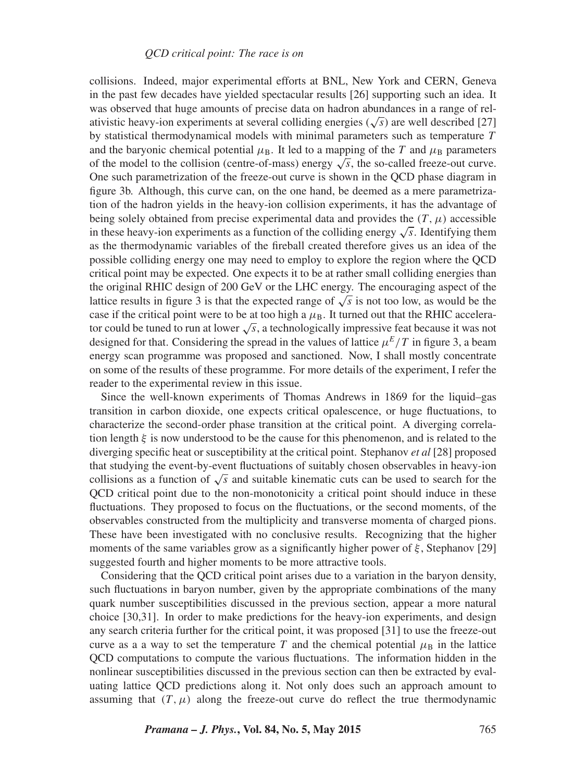collisions. Indeed, major experimental efforts at BNL, New York and CERN, Geneva in the past few decades have yielded spectacular results [26] supporting such an idea. It was observed that huge amounts of precise data on hadron abundances in a range of relativistic heavy-ion experiments at several colliding energies ( $\sqrt{s}$ ) are well described [27] by statistical thermodynamical models with minimal parameters such as temperature *T* and the baryonic chemical potential  $\mu_B$ . It led to a mapping of the *T* and  $\mu_B$  parameters of the model to the collision (centre-of-mass) energy  $\sqrt{s}$ , the so-called freeze-out curve. One such parametrization of the freeze-out curve is shown in the QCD phase diagram in figure 3b. Although, this curve can, on the one hand, be deemed as a mere parametrization of the hadron yields in the heavy-ion collision experiments, it has the advantage of being solely obtained from precise experimental data and provides the  $(T, \mu)$  accessible in these heavy-ion experiments as a function of the colliding energy  $\sqrt{s}$ . Identifying them as the thermodynamic variables of the fireball created therefore gives us an idea of the possible colliding energy one may need to employ to explore the region where the QCD critical point may be expected. One expects it to be at rather small colliding energies than the original RHIC design of 200 GeV or the LHC energy. The encouraging aspect of the lattice results in figure 3 is that the expected range of  $\sqrt{s}$  is not too low, as would be the case if the critical point were to be at too high a  $\mu_B$ . It turned out that the RHIC accelerator could be tuned to run at lower <sup>√</sup>*s*, a technologically impressive feat because it was not designed for that. Considering the spread in the values of lattice  $\mu^E/T$  in figure 3, a beam energy scan programme was proposed and sanctioned. Now, I shall mostly concentrate on some of the results of these programme. For more details of the experiment, I refer the reader to the experimental review in this issue.

Since the well-known experiments of Thomas Andrews in 1869 for the liquid–gas transition in carbon dioxide, one expects critical opalescence, or huge fluctuations, to characterize the second-order phase transition at the critical point. A diverging correlation length *ξ* is now understood to be the cause for this phenomenon, and is related to the diverging specific heat or susceptibility at the critical point. Stephanov *et al* [28] proposed that studying the event-by-event fluctuations of suitably chosen observables in heavy-ion collisions as a function of <sup>√</sup>*<sup>s</sup>* and suitable kinematic cuts can be used to search for the QCD critical point due to the non-monotonicity a critical point should induce in these fluctuations. They proposed to focus on the fluctuations, or the second moments, of the observables constructed from the multiplicity and transverse momenta of charged pions. These have been investigated with no conclusive results. Recognizing that the higher moments of the same variables grow as a significantly higher power of  $\xi$ , Stephanov [29] suggested fourth and higher moments to be more attractive tools.

Considering that the QCD critical point arises due to a variation in the baryon density, such fluctuations in baryon number, given by the appropriate combinations of the many quark number susceptibilities discussed in the previous section, appear a more natural choice [30,31]. In order to make predictions for the heavy-ion experiments, and design any search criteria further for the critical point, it was proposed [31] to use the freeze-out curve as a a way to set the temperature *T* and the chemical potential  $\mu_B$  in the lattice QCD computations to compute the various fluctuations. The information hidden in the nonlinear susceptibilities discussed in the previous section can then be extracted by evaluating lattice QCD predictions along it. Not only does such an approach amount to assuming that  $(T, \mu)$  along the freeze-out curve do reflect the true thermodynamic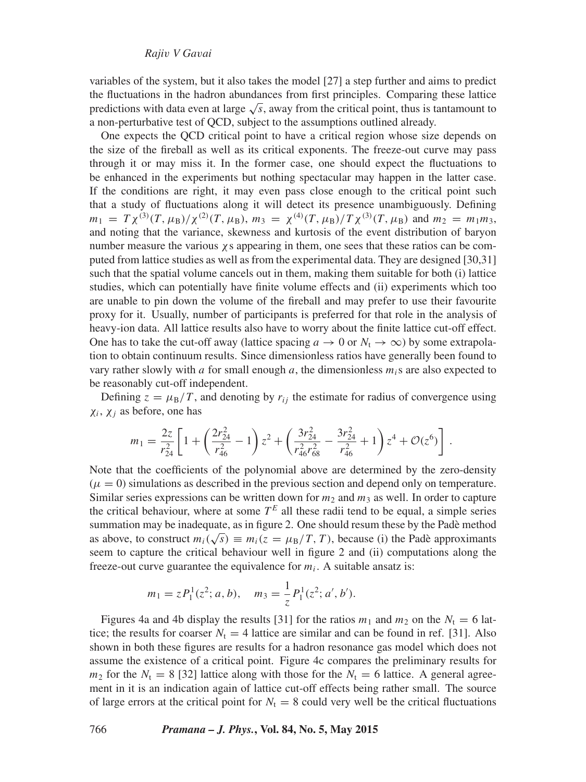variables of the system, but it also takes the model [27] a step further and aims to predict the fluctuations in the hadron abundances from first principles. Comparing these lattice predictions with data even at large <sup>√</sup>*s*, away from the critical point, thus is tantamount to a non-perturbative test of QCD, subject to the assumptions outlined already.

One expects the QCD critical point to have a critical region whose size depends on the size of the fireball as well as its critical exponents. The freeze-out curve may pass through it or may miss it. In the former case, one should expect the fluctuations to be enhanced in the experiments but nothing spectacular may happen in the latter case. If the conditions are right, it may even pass close enough to the critical point such that a study of fluctuations along it will detect its presence unambiguously. Defining  $m_1 = T \chi^{(3)}(T, \mu_B)/\chi^{(2)}(T, \mu_B), m_3 = \chi^{(4)}(T, \mu_B)/T \chi^{(3)}(T, \mu_B)$  and  $m_2 = m_1 m_3$ , and noting that the variance, skewness and kurtosis of the event distribution of baryon number measure the various  $\chi$ s appearing in them, one sees that these ratios can be computed from lattice studies as well as from the experimental data. They are designed [30,31] such that the spatial volume cancels out in them, making them suitable for both (i) lattice studies, which can potentially have finite volume effects and (ii) experiments which too are unable to pin down the volume of the fireball and may prefer to use their favourite proxy for it. Usually, number of participants is preferred for that role in the analysis of heavy-ion data. All lattice results also have to worry about the finite lattice cut-off effect. One has to take the cut-off away (lattice spacing  $a \to 0$  or  $N_t \to \infty$ ) by some extrapolation to obtain continuum results. Since dimensionless ratios have generally been found to vary rather slowly with *a* for small enough *a*, the dimensionless  $m_i$  are also expected to be reasonably cut-off independent.

Defining  $z = \mu_B/T$ , and denoting by  $r_{ij}$  the estimate for radius of convergence using *χi*, *χj* as before, one has

$$
m_1 = \frac{2z}{r_{24}^2} \left[ 1 + \left( \frac{2r_{24}^2}{r_{46}^2} - 1 \right) z^2 + \left( \frac{3r_{24}^2}{r_{46}^2 r_{68}^2} - \frac{3r_{24}^2}{r_{46}^2} + 1 \right) z^4 + \mathcal{O}(z^6) \right] \, .
$$

Note that the coefficients of the polynomial above are determined by the zero-density  $(\mu = 0)$  simulations as described in the previous section and depend only on temperature. Similar series expressions can be written down for  $m_2$  and  $m_3$  as well. In order to capture the critical behaviour, where at some  $T^E$  all these radii tend to be equal, a simple series summation may be inadequate, as in figure 2. One should resum these by the Padè method as above, to construct  $m_i(\sqrt{s}) \equiv m_i(z = \mu_B/T, T)$ , because (i) the Padè approximants seem to capture the critical behaviour well in figure 2 and (ii) computations along the freeze-out curve guarantee the equivalence for  $m_i$ . A suitable ansatz is:

$$
m_1 = zP_1^1(z^2; a, b), \quad m_3 = \frac{1}{z}P_1^1(z^2; a', b').
$$

Figures 4a and 4b display the results [31] for the ratios  $m_1$  and  $m_2$  on the  $N_t = 6$  lattice; the results for coarser  $N_t = 4$  lattice are similar and can be found in ref. [31]. Also shown in both these figures are results for a hadron resonance gas model which does not assume the existence of a critical point. Figure 4c compares the preliminary results for  $m_2$  for the  $N_t = 8$  [32] lattice along with those for the  $N_t = 6$  lattice. A general agreement in it is an indication again of lattice cut-off effects being rather small. The source of large errors at the critical point for  $N<sub>t</sub> = 8$  could very well be the critical fluctuations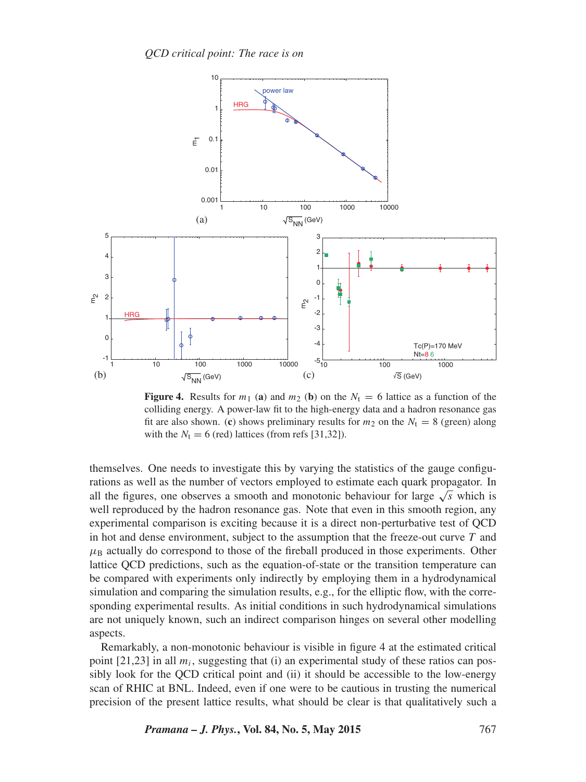

**Figure 4.** Results for  $m_1$  (a) and  $m_2$  (b) on the  $N_t = 6$  lattice as a function of the colliding energy. A power-law fit to the high-energy data and a hadron resonance gas fit are also shown. (c) shows preliminary results for  $m_2$  on the  $N_t = 8$  (green) along with the  $N_t = 6$  (red) lattices (from refs [31,32]).

themselves. One needs to investigate this by varying the statistics of the gauge configurations as well as the number of vectors employed to estimate each quark propagator. In all the figures, one observes a smooth and monotonic behaviour for large  $\sqrt{s}$  which is well reproduced by the hadron resonance gas. Note that even in this smooth region, any experimental comparison is exciting because it is a direct non-perturbative test of QCD in hot and dense environment, subject to the assumption that the freeze-out curve *T* and  $\mu_B$  actually do correspond to those of the fireball produced in those experiments. Other lattice QCD predictions, such as the equation-of-state or the transition temperature can be compared with experiments only indirectly by employing them in a hydrodynamical simulation and comparing the simulation results, e.g., for the elliptic flow, with the corresponding experimental results. As initial conditions in such hydrodynamical simulations are not uniquely known, such an indirect comparison hinges on several other modelling aspects.

Remarkably, a non-monotonic behaviour is visible in figure 4 at the estimated critical point [21,23] in all *mi*, suggesting that (i) an experimental study of these ratios can possibly look for the QCD critical point and (ii) it should be accessible to the low-energy scan of RHIC at BNL. Indeed, even if one were to be cautious in trusting the numerical precision of the present lattice results, what should be clear is that qualitatively such a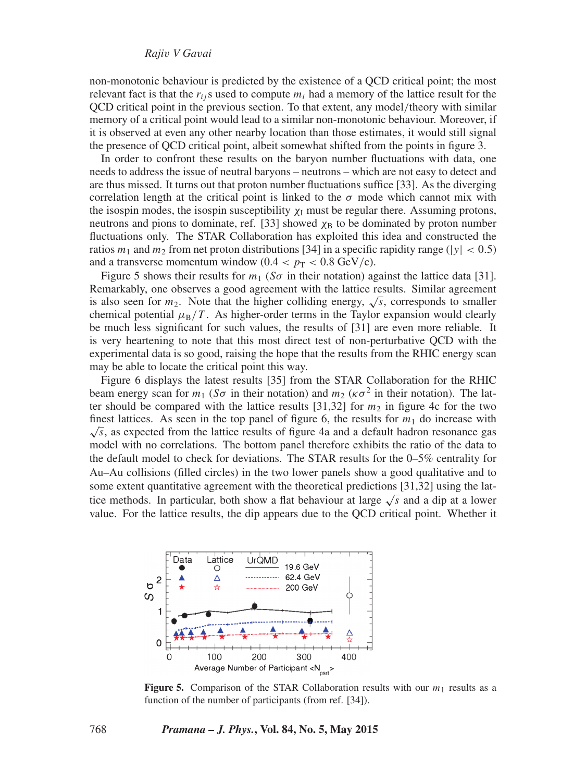non-monotonic behaviour is predicted by the existence of a QCD critical point; the most relevant fact is that the  $r_{ij}$  s used to compute  $m_i$  had a memory of the lattice result for the QCD critical point in the previous section. To that extent, any model*/*theory with similar memory of a critical point would lead to a similar non-monotonic behaviour. Moreover, if it is observed at even any other nearby location than those estimates, it would still signal the presence of QCD critical point, albeit somewhat shifted from the points in figure 3.

In order to confront these results on the baryon number fluctuations with data, one needs to address the issue of neutral baryons – neutrons – which are not easy to detect and are thus missed. It turns out that proton number fluctuations suffice [33]. As the diverging correlation length at the critical point is linked to the  $\sigma$  mode which cannot mix with the isospin modes, the isospin susceptibility  $\chi_I$  must be regular there. Assuming protons, neutrons and pions to dominate, ref. [33] showed  $\chi_B$  to be dominated by proton number fluctuations only. The STAR Collaboration has exploited this idea and constructed the ratios  $m_1$  and  $m_2$  from net proton distributions [34] in a specific rapidity range ( $|y| < 0.5$ ) and a transverse momentum window  $(0.4 < p_T < 0.8 \text{ GeV/c}).$ 

Figure 5 shows their results for  $m_1$  (*So* in their notation) against the lattice data [31]. Remarkably, one observes a good agreement with the lattice results. Similar agreement is also seen for  $m_2$ . Note that the higher colliding energy,  $\sqrt{s}$ , corresponds to smaller chemical potential  $\mu_B/T$ . As higher-order terms in the Taylor expansion would clearly be much less significant for such values, the results of [31] are even more reliable. It is very heartening to note that this most direct test of non-perturbative QCD with the experimental data is so good, raising the hope that the results from the RHIC energy scan may be able to locate the critical point this way.

Figure 6 displays the latest results [35] from the STAR Collaboration for the RHIC beam energy scan for  $m_1$  (*So* in their notation) and  $m_2$  ( $\kappa \sigma^2$  in their notation). The latter should be compared with the lattice results  $[31,32]$  for  $m<sub>2</sub>$  in figure 4c for the two finest lattices. As seen in the top panel of figure 6, the results for  $m_1$  do increase with  $\sqrt{s}$ , as expected from the lattice results of figure 4a and a default hadron resonance gas model with no correlations. The bottom panel therefore exhibits the ratio of the data to the default model to check for deviations. The STAR results for the 0–5% centrality for Au–Au collisions (filled circles) in the two lower panels show a good qualitative and to some extent quantitative agreement with the theoretical predictions [31,32] using the lattice methods. In particular, both show a flat behaviour at large <sup>√</sup>*<sup>s</sup>* and a dip at a lower value. For the lattice results, the dip appears due to the QCD critical point. Whether it



**Figure 5.** Comparison of the STAR Collaboration results with our  $m_1$  results as a function of the number of participants (from ref. [34]).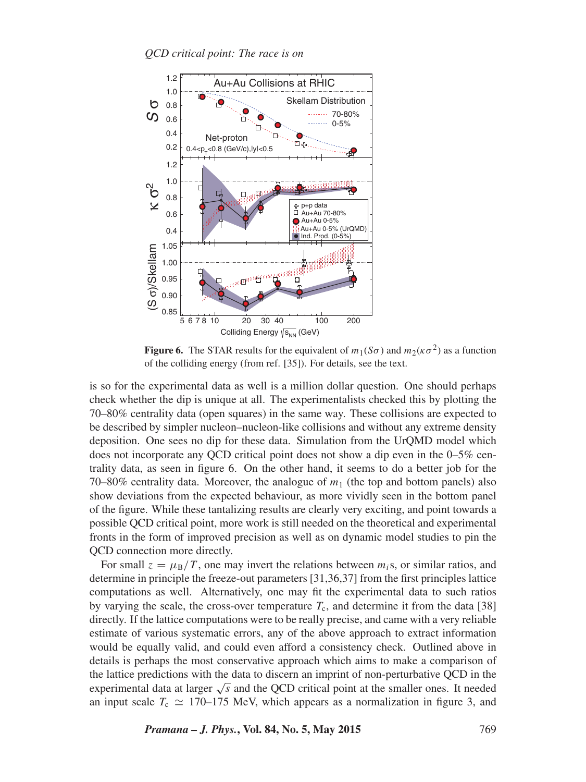

**Figure 6.** The STAR results for the equivalent of  $m_1(S\sigma)$  and  $m_2(\kappa \sigma^2)$  as a function of the colliding energy (from ref. [35]). For details, see the text.

is so for the experimental data as well is a million dollar question. One should perhaps check whether the dip is unique at all. The experimentalists checked this by plotting the 70–80% centrality data (open squares) in the same way. These collisions are expected to be described by simpler nucleon–nucleon-like collisions and without any extreme density deposition. One sees no dip for these data. Simulation from the UrQMD model which does not incorporate any QCD critical point does not show a dip even in the 0–5% centrality data, as seen in figure 6. On the other hand, it seems to do a better job for the 70–80% centrality data. Moreover, the analogue of  $m_1$  (the top and bottom panels) also show deviations from the expected behaviour, as more vividly seen in the bottom panel of the figure. While these tantalizing results are clearly very exciting, and point towards a possible QCD critical point, more work is still needed on the theoretical and experimental fronts in the form of improved precision as well as on dynamic model studies to pin the QCD connection more directly.

For small  $z = \mu_B/T$ , one may invert the relations between  $m_i$ s, or similar ratios, and determine in principle the freeze-out parameters [31,36,37] from the first principles lattice computations as well. Alternatively, one may fit the experimental data to such ratios by varying the scale, the cross-over temperature  $T_c$ , and determine it from the data [38] directly. If the lattice computations were to be really precise, and came with a very reliable estimate of various systematic errors, any of the above approach to extract information would be equally valid, and could even afford a consistency check. Outlined above in details is perhaps the most conservative approach which aims to make a comparison of the lattice predictions with the data to discern an imprint of non-perturbative QCD in the experimental data at larger <sup>√</sup>*<sup>s</sup>* and the QCD critical point at the smaller ones. It needed an input scale  $T_c \simeq 170-175$  MeV, which appears as a normalization in figure 3, and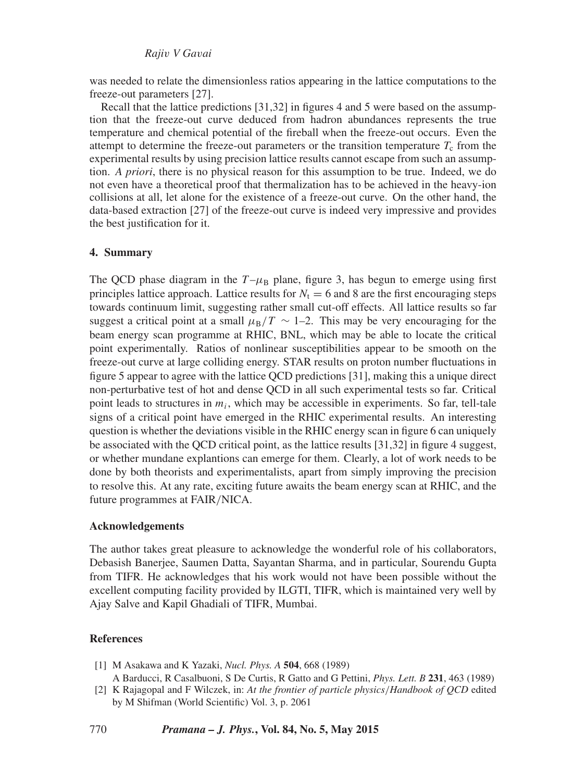was needed to relate the dimensionless ratios appearing in the lattice computations to the freeze-out parameters [27].

Recall that the lattice predictions [31,32] in figures 4 and 5 were based on the assumption that the freeze-out curve deduced from hadron abundances represents the true temperature and chemical potential of the fireball when the freeze-out occurs. Even the attempt to determine the freeze-out parameters or the transition temperature  $T_c$  from the experimental results by using precision lattice results cannot escape from such an assumption. *A priori*, there is no physical reason for this assumption to be true. Indeed, we do not even have a theoretical proof that thermalization has to be achieved in the heavy-ion collisions at all, let alone for the existence of a freeze-out curve. On the other hand, the data-based extraction [27] of the freeze-out curve is indeed very impressive and provides the best justification for it.

#### **4. Summary**

The QCD phase diagram in the  $T-\mu_B$  plane, figure 3, has begun to emerge using first principles lattice approach. Lattice results for  $N_t = 6$  and 8 are the first encouraging steps towards continuum limit, suggesting rather small cut-off effects. All lattice results so far suggest a critical point at a small  $\mu_B/T \sim 1$ –2. This may be very encouraging for the beam energy scan programme at RHIC, BNL, which may be able to locate the critical point experimentally. Ratios of nonlinear susceptibilities appear to be smooth on the freeze-out curve at large colliding energy. STAR results on proton number fluctuations in figure 5 appear to agree with the lattice QCD predictions [31], making this a unique direct non-perturbative test of hot and dense QCD in all such experimental tests so far. Critical point leads to structures in *mi*, which may be accessible in experiments. So far, tell-tale signs of a critical point have emerged in the RHIC experimental results. An interesting question is whether the deviations visible in the RHIC energy scan in figure 6 can uniquely be associated with the QCD critical point, as the lattice results [31,32] in figure 4 suggest, or whether mundane explantions can emerge for them. Clearly, a lot of work needs to be done by both theorists and experimentalists, apart from simply improving the precision to resolve this. At any rate, exciting future awaits the beam energy scan at RHIC, and the future programmes at FAIR*/*NICA.

#### **Acknowledgements**

The author takes great pleasure to acknowledge the wonderful role of his collaborators, Debasish Banerjee, Saumen Datta, Sayantan Sharma, and in particular, Sourendu Gupta from TIFR. He acknowledges that his work would not have been possible without the excellent computing facility provided by ILGTI, TIFR, which is maintained very well by Ajay Salve and Kapil Ghadiali of TIFR, Mumbai.

#### **References**

- [1] M Asakawa and K Yazaki, *Nucl. Phys. A* **504**, 668 (1989) A Barducci, R Casalbuoni, S De Curtis, R Gatto and G Pettini, *Phys. Lett. B* **231**, 463 (1989)
- [2] K Rajagopal and F Wilczek, in: *At the frontier of particle physics/Handbook of QCD* edited by M Shifman (World Scientific) Vol. 3, p. 2061